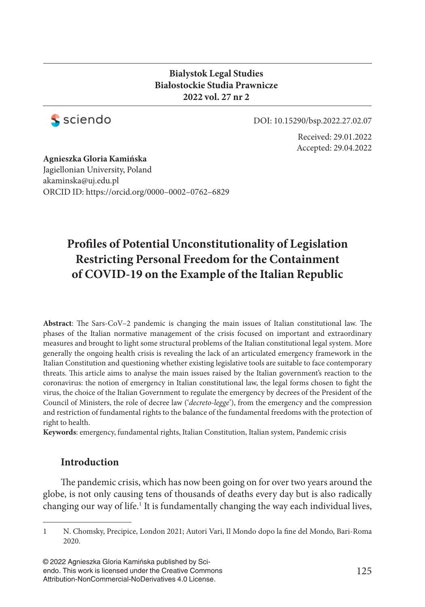### **Bialystok Legal Studies Białostockie Studia Prawnicze 2022 vol. 27 nr 2**



DOI: 10.15290/bsp.2022.27.02.07

Received: 29.01.2022 Accepted: 29.04.2022

**Agnieszka Gloria Kamińska** Jagiellonian University, Poland akaminska@uj.edu.pl ORCID ID: https://orcid.org/ 0000–0002–0762–6829

# Profiles of Potential Unconstitutionality of Legislation **Restricting Personal Freedom for the Containment of COVID-19 on the Example of the Italian Republic**

Abstract: The Sars-CoV-2 pandemic is changing the main issues of Italian constitutional law. The phases of the Italian normative management of the crisis focused on important and extraordinary measures and brought to light some structural problems of the Italian constitutional legal system. More generally the ongoing health crisis is revealing the lack of an articulated emergency framework in the Italian Constitution and questioning whether existing legislative tools are suitable to face contemporary threats. This article aims to analyse the main issues raised by the Italian government's reaction to the coronavirus: the notion of emergency in Italian constitutional law, the legal forms chosen to fight the virus, the choice of the Italian Government to regulate the emergency by decrees of the President of the Council of Ministers, the role of decree law ('*decreto-legge*'), from the emergency and the compression and restriction of fundamental rights to the balance of the fundamental freedoms with the protection of right to health.

**Keywords**: emergency, fundamental rights, Italian Constitution, Italian system, Pandemic crisis

### **Introduction**

The pandemic crisis, which has now been going on for over two years around the globe, is not only causing tens of thousands of deaths every day but is also radically changing our way of life.<sup>1</sup> It is fundamentally changing the way each individual lives,

© 2022 Agnieszka Gloria Kamińska published by Sciendo. This work is licensed under the Creative Commons Attribution-NonCommercial-NoDerivatives 4.0 License.

<sup>1</sup> N. Chomsky, Precipice, London 2021; Autori Vari, Il Mondo dopo la fine del Mondo, Bari-Roma 2020.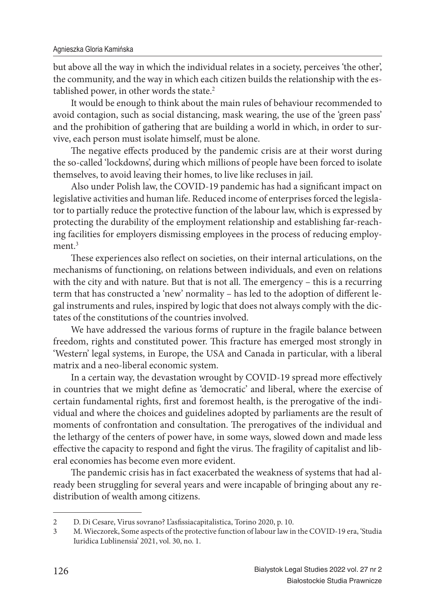but above all the way in which the individual relates in a society, perceives 'the other', the community, and the way in which each citizen builds the relationship with the established power, in other words the state.<sup>2</sup>

It would be enough to think about the main rules of behaviour recommended to avoid contagion, such as social distancing, mask wearing, the use of the 'green pass' and the prohibition of gathering that are building a world in which, in order to survive, each person must isolate himself, must be alone.

The negative effects produced by the pandemic crisis are at their worst during the so-called 'lockdowns', during which millions of people have been forced to isolate themselves, to avoid leaving their homes, to live like recluses in jail.

Also under Polish law, the COVID-19 pandemic has had a significant impact on legislative activities and human life. Reduced income of enterprises forced the legislator to partially reduce the protective function of the labour law, which is expressed by protecting the durability of the employment relationship and establishing far-reaching facilities for employers dismissing employees in the process of reducing employment.<sup>3</sup>

These experiences also reflect on societies, on their internal articulations, on the mechanisms of functioning, on relations between individuals, and even on relations with the city and with nature. But that is not all. The emergency  $-$  this is a recurring term that has constructed a 'new' normality - has led to the adoption of different legal instruments and rules, inspired by logic that does not always comply with the dictates of the constitutions of the countries involved.

We have addressed the various forms of rupture in the fragile balance between freedom, rights and constituted power. This fracture has emerged most strongly in 'Western' legal systems, in Europe, the USA and Canada in particular, with a liberal matrix and a neo-liberal economic system.

In a certain way, the devastation wrought by COVID-19 spread more effectively in countries that we might define as 'democratic' and liberal, where the exercise of certain fundamental rights, first and foremost health, is the prerogative of the individual and where the choices and guidelines adopted by parliaments are the result of moments of confrontation and consultation. The prerogatives of the individual and the lethargy of the centers of power have, in some ways, slowed down and made less effective the capacity to respond and fight the virus. The fragility of capitalist and liberal economies has become even more evident.

The pandemic crisis has in fact exacerbated the weakness of systems that had already been struggling for several years and were incapable of bringing about any redistribution of wealth among citizens.

<sup>2</sup> D. Di Cesare, Virus sovrano? L'asfissiacapitalistica, Torino 2020, p. 10.

<sup>3</sup> M. Wieczorek, Some aspects of the protective function of labour law in the COVID-19 era, 'Studia Iuridica Lublinensia' 2021, vol. 30, no. 1.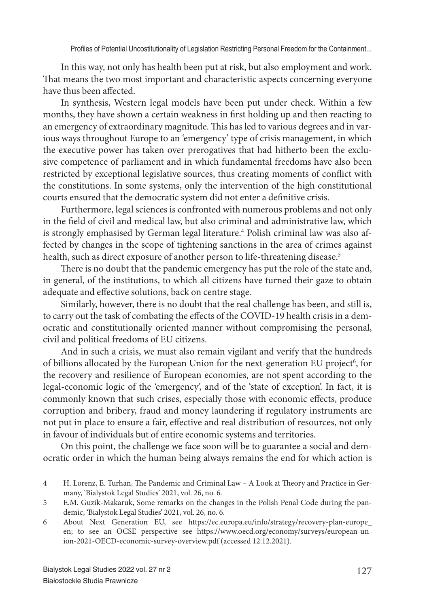In this way, not only has health been put at risk, but also employment and work. That means the two most important and characteristic aspects concerning everyone have thus been affected.

In synthesis, Western legal models have been put under check. Within a few months, they have shown a certain weakness in first holding up and then reacting to an emergency of extraordinary magnitude. This has led to various degrees and in various ways throughout Europe to an 'emergency' type of crisis management, in which the executive power has taken over prerogatives that had hitherto been the exclusive competence of parliament and in which fundamental freedoms have also been restricted by exceptional legislative sources, thus creating moments of conflict with the constitutions. In some systems, only the intervention of the high constitutional courts ensured that the democratic system did not enter a definitive crisis.

Furthermore, legal sciences is confronted with numerous problems and not only in the field of civil and medical law, but also criminal and administrative law, which is strongly emphasised by German legal literature.<sup>4</sup> Polish criminal law was also affected by changes in the scope of tightening sanctions in the area of crimes against health, such as direct exposure of another person to life-threatening disease.<sup>5</sup>

There is no doubt that the pandemic emergency has put the role of the state and, in general, of the institutions, to which all citizens have turned their gaze to obtain adequate and effective solutions, back on centre stage.

Similarly, however, there is no doubt that the real challenge has been, and still is, to carry out the task of combating the effects of the COVID-19 health crisis in a democratic and constitutionally oriented manner without compromising the personal, civil and political freedoms of EU citizens.

And in such a crisis, we must also remain vigilant and verify that the hundreds of billions allocated by the European Union for the next-generation EU project<sup>6</sup>, for the recovery and resilience of European economies, are not spent according to the legal-economic logic of the 'emergency', and of the 'state of exception'. In fact, it is commonly known that such crises, especially those with economic effects, produce corruption and bribery, fraud and money laundering if regulatory instruments are not put in place to ensure a fair, effective and real distribution of resources, not only in favour of individuals but of entire economic systems and territories.

On this point, the challenge we face soon will be to guarantee a social and democratic order in which the human being always remains the end for which action is

<sup>4</sup> H. Lorenz, E. Turhan, The Pandemic and Criminal Law – A Look at Theory and Practice in Germany, 'Bialystok Legal Studies' 2021, vol. 26, no. 6.

<sup>5</sup> E.M. Guzik-Makaruk, Some remarks on the changes in the Polish Penal Code during the pandemic, 'Bialystok Legal Studies' 2021, vol. 26, no. 6.

<sup>6</sup> About Next Generation EU, see https://ec.europa.eu/info/strategy/recovery-plan-europe\_ en; to see an OCSE perspective see https://www.oecd.org/economy/surveys/european-union-2021-OECD-economic-survey-overview.pdf (accessed 12.12.2021).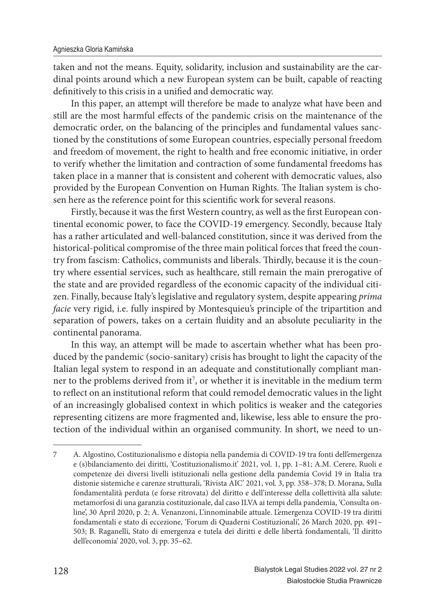taken and not the means. Equity, solidarity, inclusion and sustainability are the cardinal points around which a new European system can be built, capable of reacting definitively to this crisis in a unified and democratic way.

In this paper, an attempt will therefore be made to analyze what have been and still are the most harmful effects of the pandemic crisis on the maintenance of the democratic order, on the balancing of the principles and fundamental values sanctioned by the constitutions of some European countries, especially personal freedom and freedom of movement, the right to health and free economic initiative, in order to verify whether the limitation and contraction of some fundamental freedoms has taken place in a manner that is consistent and coherent with democratic values, also provided by the European Convention on Human Rights. The Italian system is chosen here as the reference point for this scientific work for several reasons.

Firstly, because it was the first Western country, as well as the first European continental economic power, to face the COVID-19 emergency. Secondly, because Italy has a rather articulated and well-balanced constitution, since it was derived from the historical-political compromise of the three main political forces that freed the country from fascism: Catholics, communists and liberals. Thirdly, because it is the country where essential services, such as healthcare, still remain the main prerogative of the state and are provided regardless of the economic capacity of the individual citizen. Finally, because Italy's legislative and regulatory system, despite appearing *prima facie* very rigid, i.e. fully inspired by Montesquieu's principle of the tripartition and separation of powers, takes on a certain fluidity and an absolute peculiarity in the continental panorama.

In this way, an attempt will be made to ascertain whether what has been produced by the pandemic (socio-sanitary) crisis has brought to light the capacity of the Italian legal system to respond in an adequate and constitutionally compliant manner to the problems derived from it<sup>7</sup>, or whether it is inevitable in the medium term to reflect on an institutional reform that could remodel democratic values in the light of an increasingly globalised context in which politics is weaker and the categories representing citizens are more fragmented and, likewise, less able to ensure the protection of the individual within an organised community. In short, we need to un-

<sup>7</sup> A. Algostino, Costituzionalismo e distopia nella pandemia di COVID-19 tra fonti dell'emergenza e (s)bilanciamento dei diritti, 'Costituzionalismo.it' 2021, vol. 1, pp. 1–81; A.M. Cerere, Ruoli e competenze dei diversi livelli istituzionali nella gestione della pandemia Covid 19 in Italia tra distonie sistemiche e carenze strutturali, 'Rivista AIC' 2021, vol. 3, pp. 358–378; D. Morana, Sulla fondamentalità perduta (e forse ritrovata) del diritto e dell'interesse della collettività alla salute: metamorfosi di una garanzia costituzionale, dal caso ILVA ai tempi della pandemia, 'Consulta online', 30 April 2020, p. 2; A. Venanzoni, L'innominabile attuale. L'emergenza COVID-19 tra diritti fondamentali e stato di eccezione, 'Forum di Quaderni Costituzionali', 26 March 2020, pp. 491– 503; B. Raganelli, Stato di emergenza e tutela dei diritti e delle libertà fondamentali, 'Il diritto dell'economia' 2020, vol. 3, pp. 35–62.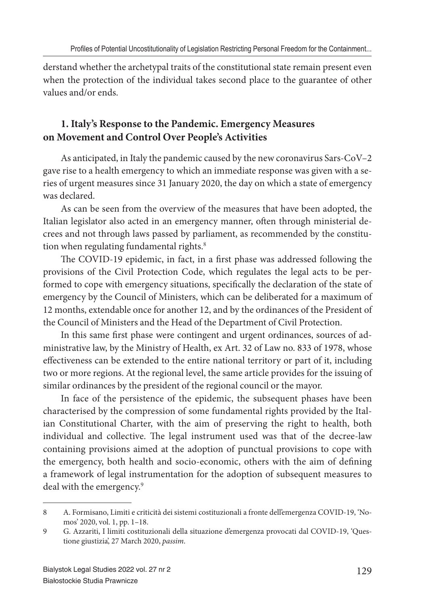derstand whether the archetypal traits of the constitutional state remain present even when the protection of the individual takes second place to the guarantee of other values and/or ends.

# **1. Italy's Response to the Pandemic. Emergency Measures on Movement and Control Over People's Activities**

As anticipated, in Italy the pandemic caused by the new coronavirus Sars-CoV–2 gave rise to a health emergency to which an immediate response was given with a series of urgent measures since 31 January 2020, the day on which a state of emergency was declared.

As can be seen from the overview of the measures that have been adopted, the Italian legislator also acted in an emergency manner, often through ministerial decrees and not through laws passed by parliament, as recommended by the constitution when regulating fundamental rights.<sup>8</sup>

The COVID-19 epidemic, in fact, in a first phase was addressed following the provisions of the Civil Protection Code, which regulates the legal acts to be performed to cope with emergency situations, specifically the declaration of the state of emergency by the Council of Ministers, which can be deliberated for a maximum of 12 months, extendable once for another 12, and by the ordinances of the President of the Council of Ministers and the Head of the Department of Civil Protection.

In this same first phase were contingent and urgent ordinances, sources of administrative law, by the Ministry of Health, ex Art. 32 of Law no. 833 of 1978, whose effectiveness can be extended to the entire national territory or part of it, including two or more regions. At the regional level, the same article provides for the issuing of similar ordinances by the president of the regional council or the mayor.

In face of the persistence of the epidemic, the subsequent phases have been characterised by the compression of some fundamental rights provided by the Italian Constitutional Charter, with the aim of preserving the right to health, both individual and collective. The legal instrument used was that of the decree-law containing provisions aimed at the adoption of punctual provisions to cope with the emergency, both health and socio-economic, others with the aim of defining a framework of legal instrumentation for the adoption of subsequent measures to deal with the emergency.<sup>9</sup>

<sup>8</sup> A. Formisano, Limiti e criticità dei sistemi costituzionali a fronte dell'emergenza COVID-19, 'Nomos' 2020, vol. 1, pp. 1–18.

<sup>9</sup> G. Azzariti, I limiti costituzionali della situazione d'emergenza provocati dal COVID-19, 'Questione giustizia', 27 March 2020, *passim*.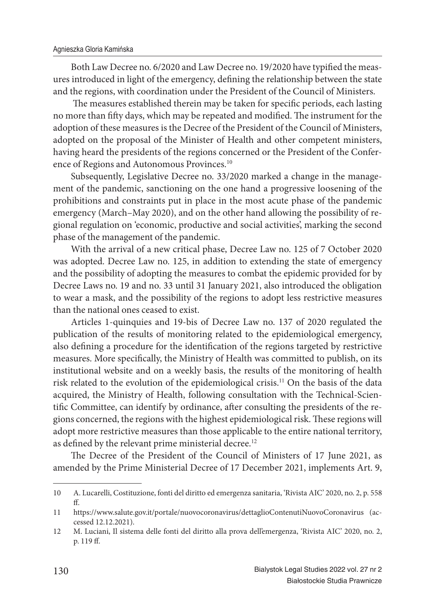Both Law Decree no. 6/2020 and Law Decree no. 19/2020 have typified the measures introduced in light of the emergency, defining the relationship between the state and the regions, with coordination under the President of the Council of Ministers.

The measures established therein may be taken for specific periods, each lasting no more than fifty days, which may be repeated and modified. The instrument for the adoption of these measures is the Decree of the President of the Council of Ministers, adopted on the proposal of the Minister of Health and other competent ministers, having heard the presidents of the regions concerned or the President of the Conference of Regions and Autonomous Provinces.<sup>10</sup>

Subsequently, Legislative Decree no. 33/2020 marked a change in the management of the pandemic, sanctioning on the one hand a progressive loosening of the prohibitions and constraints put in place in the most acute phase of the pandemic emergency (March–May 2020), and on the other hand allowing the possibility of regional regulation on 'economic, productive and social activities', marking the second phase of the management of the pandemic.

With the arrival of a new critical phase, Decree Law no. 125 of 7 October 2020 was adopted. Decree Law no. 125, in addition to extending the state of emergency and the possibility of adopting the measures to combat the epidemic provided for by Decree Laws no. 19 and no. 33 until 31 January 2021, also introduced the obligation to wear a mask, and the possibility of the regions to adopt less restrictive measures than the national ones ceased to exist.

Articles 1-quinquies and 19-bis of Decree Law no. 137 of 2020 regulated the publication of the results of monitoring related to the epidemiological emergency, also defining a procedure for the identification of the regions targeted by restrictive measures. More specifically, the Ministry of Health was committed to publish, on its institutional website and on a weekly basis, the results of the monitoring of health risk related to the evolution of the epidemiological crisis.<sup>11</sup> On the basis of the data acquired, the Ministry of Health, following consultation with the Technical-Scientific Committee, can identify by ordinance, after consulting the presidents of the regions concerned, the regions with the highest epidemiological risk. These regions will adopt more restrictive measures than those applicable to the entire national territory, as defined by the relevant prime ministerial decree.<sup>12</sup>

The Decree of the President of the Council of Ministers of 17 June 2021, as amended by the Prime Ministerial Decree of 17 December 2021, implements Art. 9,

<sup>10</sup> A. Lucarelli, Costituzione, fonti del diritto ed emergenza sanitaria, 'Rivista AIC' 2020, no. 2, p. 558 ff.

<sup>11</sup> https://www.salute.gov.it/portale/nuovocoronavirus/dettaglioContenutiNuovoCoronavirus (accessed 12.12.2021).

<sup>12</sup> M. Luciani, Il sistema delle fonti del diritto alla prova dell'emergenza, 'Rivista AIC' 2020, no. 2, p. 119 ff.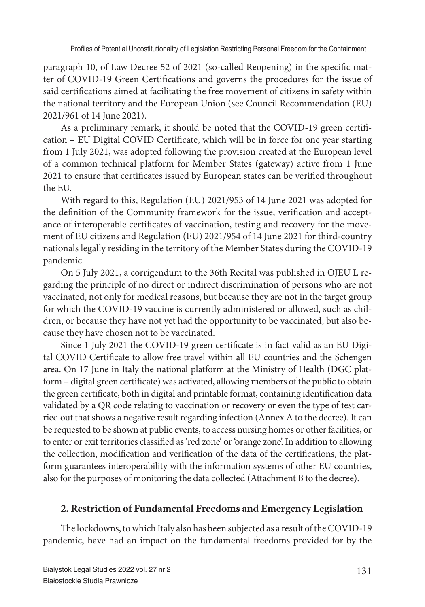paragraph 10, of Law Decree 52 of 2021 (so-called Reopening) in the specific matter of COVID-19 Green Certifications and governs the procedures for the issue of said certifications aimed at facilitating the free movement of citizens in safety within the national territory and the European Union (see Council Recommendation (EU) 2021/961 of 14 June 2021).

As a preliminary remark, it should be noted that the COVID-19 green certification – EU Digital COVID Certificate, which will be in force for one year starting from 1 July 2021, was adopted following the provision created at the European level of a common technical platform for Member States (gateway) active from 1 June 2021 to ensure that certificates issued by European states can be verified throughout the EU.

With regard to this, Regulation (EU) 2021/953 of 14 June 2021 was adopted for the definition of the Community framework for the issue, verification and acceptance of interoperable certificates of vaccination, testing and recovery for the movement of EU citizens and Regulation (EU) 2021/954 of 14 June 2021 for third-country nationals legally residing in the territory of the Member States during the COVID-19 pandemic.

On 5 July 2021, a corrigendum to the 36th Recital was published in OJEU L regarding the principle of no direct or indirect discrimination of persons who are not vaccinated, not only for medical reasons, but because they are not in the target group for which the COVID-19 vaccine is currently administered or allowed, such as children, or because they have not yet had the opportunity to be vaccinated, but also because they have chosen not to be vaccinated.

Since 1 July 2021 the COVID-19 green certificate is in fact valid as an EU Digital COVID Certificate to allow free travel within all EU countries and the Schengen area. On 17 June in Italy the national platform at the Ministry of Health (DGC platform – digital green certificate) was activated, allowing members of the public to obtain the green certificate, both in digital and printable format, containing identification data validated by a QR code relating to vaccination or recovery or even the type of test carried out that shows a negative result regarding infection (Annex A to the decree). It can be requested to be shown at public events, to access nursing homes or other facilities, or to enter or exit territories classified as 'red zone' or 'orange zone'. In addition to allowing the collection, modification and verification of the data of the certifications, the platform guarantees interoperability with the information systems of other EU countries, also for the purposes of monitoring the data collected (Attachment B to the decree).

# **2. Restriction of Fundamental Freedoms and Emergency Legislation**

The lockdowns, to which Italy also has been subjected as a result of the COVID-19 pandemic, have had an impact on the fundamental freedoms provided for by the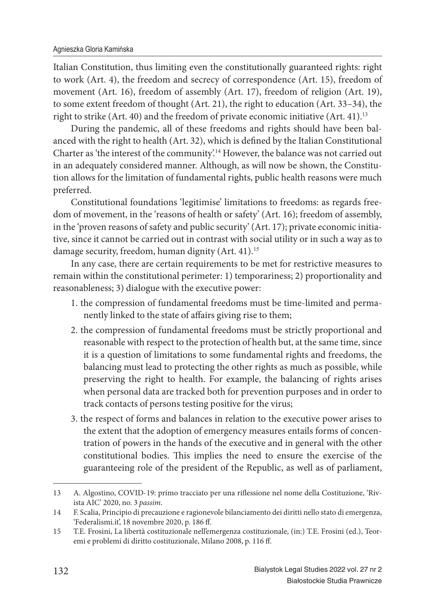Italian Constitution, thus limiting even the constitutionally guaranteed rights: right to work (Art. 4), the freedom and secrecy of correspondence (Art. 15), freedom of movement (Art. 16), freedom of assembly (Art. 17), freedom of religion (Art. 19), to some extent freedom of thought (Art. 21), the right to education (Art. 33–34), the right to strike (Art. 40) and the freedom of private economic initiative (Art. 41).<sup>13</sup>

During the pandemic, all of these freedoms and rights should have been balanced with the right to health (Art. 32), which is defined by the Italian Constitutional Charter as 'the interest of the community'.<sup>14</sup> However, the balance was not carried out in an adequately considered manner. Although, as will now be shown, the Constitution allows for the limitation of fundamental rights, public health reasons were much preferred.

Constitutional foundations 'legitimise' limitations to freedoms: as regards freedom of movement, in the 'reasons of health or safety' (Art. 16); freedom of assembly, in the 'proven reasons of safety and public security' (Art. 17); private economic initiative, since it cannot be carried out in contrast with social utility or in such a way as to damage security, freedom, human dignity (Art. 41).<sup>15</sup>

In any case, there are certain requirements to be met for restrictive measures to remain within the constitutional perimeter: 1) temporariness; 2) proportionality and reasonableness; 3) dialogue with the executive power:

- 1. the compression of fundamental freedoms must be time-limited and permanently linked to the state of affairs giving rise to them;
- 2. the compression of fundamental freedoms must be strictly proportional and reasonable with respect to the protection of health but, at the same time, since it is a question of limitations to some fundamental rights and freedoms, the balancing must lead to protecting the other rights as much as possible, while preserving the right to health. For example, the balancing of rights arises when personal data are tracked both for prevention purposes and in order to track contacts of persons testing positive for the virus;
- 3. the respect of forms and balances in relation to the executive power arises to the extent that the adoption of emergency measures entails forms of concentration of powers in the hands of the executive and in general with the other constitutional bodies. This implies the need to ensure the exercise of the guaranteeing role of the president of the Republic, as well as of parliament,

<sup>13</sup> A. Algostino, COVID-19: primo tracciato per una riflessione nel nome della Costituzione, 'Rivista AIC' 2020, no. 3 *passim*.

<sup>14</sup> F. Scalia, Principio di precauzione e ragionevole bilanciamento dei diritti nello stato di emergenza, 'Federalismi.it', 18 novembre 2020, p. 186 ff.

<sup>15</sup> T.E. Frosini, La libertà costituzionale nell'emergenza costituzionale, (in:) T.E. Frosini (ed.), Teoremi e problemi di diritto costituzionale, Milano 2008, p. 116 ff.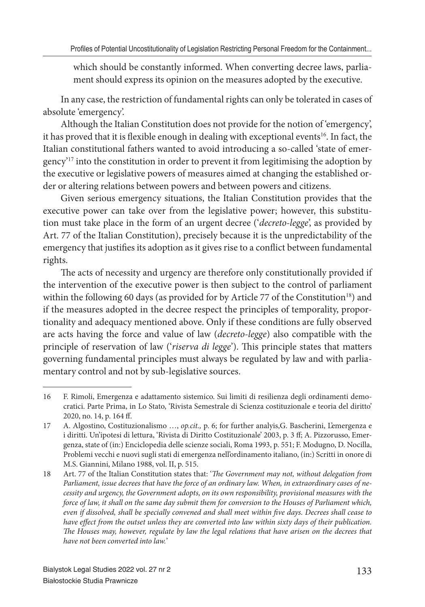which should be constantly informed. When converting decree laws, parliament should express its opinion on the measures adopted by the executive.

In any case, the restriction of fundamental rights can only be tolerated in cases of absolute 'emergency'.

Although the Italian Constitution does not provide for the notion of 'emergency', it has proved that it is flexible enough in dealing with exceptional events<sup>16</sup>. In fact, the Italian constitutional fathers wanted to avoid introducing a so-called 'state of emergency'<sup>17</sup> into the constitution in order to prevent it from legitimising the adoption by the executive or legislative powers of measures aimed at changing the established order or altering relations between powers and between powers and citizens.

Given serious emergency situations, the Italian Constitution provides that the executive power can take over from the legislative power; however, this substitution must take place in the form of an urgent decree ('*decreto-legge*', as provided by Art. 77 of the Italian Constitution), precisely because it is the unpredictability of the emergency that justifies its adoption as it gives rise to a conflict between fundamental rights.

The acts of necessity and urgency are therefore only constitutionally provided if the intervention of the executive power is then subject to the control of parliament within the following 60 days (as provided for by Article 77 of the Constitution<sup>18</sup>) and if the measures adopted in the decree respect the principles of temporality, proportionality and adequacy mentioned above. Only if these conditions are fully observed are acts having the force and value of law (*decreto-legge*) also compatible with the principle of reservation of law ('*riserva di legge*'). This principle states that matters governing fundamental principles must always be regulated by law and with parliamentary control and not by sub-legislative sources.

<sup>16</sup> F. Rimoli, Emergenza e adattamento sistemico. Sui limiti di resilienza degli ordinamenti democratici. Parte Prima, in Lo Stato, 'Rivista Semestrale di Scienza costituzionale e teoria del diritto' 2020, no. 14, p. 164 ff.

<sup>17</sup> A. Algostino, Costituzionalismo …, *op.cit.,* p. 6; for further analyis,G. Bascherini, L'emergenza e i diritti. Un'ipotesi di lettura, 'Rivista di Diritto Costituzionale' 2003, p. 3 ff ; A. Pizzorusso, Emergenza, state of (in:) Enciclopedia delle scienze sociali, Roma 1993, p. 551; F. Modugno, D. Nocilla, Problemi vecchi e nuovi sugli stati di emergenza nell'ordinamento italiano, (in:) Scritti in onore di M.S. Giannini, Milano 1988, vol. II, p. 515.

<sup>18</sup> Art. 77 of the Italian Constitution states that: '*The Government may not, without delegation from Parliament, issue decrees that have the force of an ordinary law. When, in extraordinary cases of necessity and urgency, the Government adopts, on its own responsibility, provisional measures with the force of law, it shall on the same day submit them for conversion to the Houses of Parliament which, even if dissolved, shall be specially convened and shall meet within five days. Decrees shall cease to* have effect from the outset unless they are converted into law within sixty days of their publication. The Houses may, however, regulate by law the legal relations that have arisen on the decrees that *have not been converted into law.*'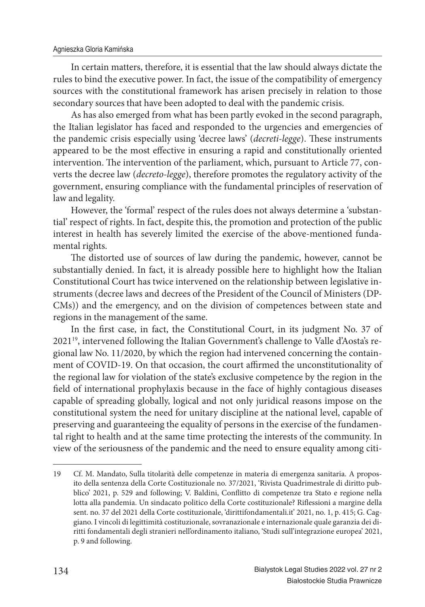#### Agnieszka Gloria Kamińska

In certain matters, therefore, it is essential that the law should always dictate the rules to bind the executive power. In fact, the issue of the compatibility of emergency sources with the constitutional framework has arisen precisely in relation to those secondary sources that have been adopted to deal with the pandemic crisis.

As has also emerged from what has been partly evoked in the second paragraph, the Italian legislator has faced and responded to the urgencies and emergencies of the pandemic crisis especially using 'decree laws' (*decreti-legge*). These instruments appeared to be the most effective in ensuring a rapid and constitutionally oriented intervention. The intervention of the parliament, which, pursuant to Article 77, converts the decree law (*decreto-legge*), therefore promotes the regulatory activity of the government, ensuring compliance with the fundamental principles of reservation of law and legality.

However, the 'formal' respect of the rules does not always determine a 'substantial' respect of rights. In fact, despite this, the promotion and protection of the public interest in health has severely limited the exercise of the above-mentioned fundamental rights.

The distorted use of sources of law during the pandemic, however, cannot be substantially denied. In fact, it is already possible here to highlight how the Italian Constitutional Court has twice intervened on the relationship between legislative instruments (decree laws and decrees of the President of the Council of Ministers (DP-CMs)) and the emergency, and on the division of competences between state and regions in the management of the same.

In the first case, in fact, the Constitutional Court, in its judgment No. 37 of 202119, intervened following the Italian Government's challenge to Valle d'Aosta's regional law No. 11/2020, by which the region had intervened concerning the containment of COVID-19. On that occasion, the court affirmed the unconstitutionality of the regional law for violation of the state's exclusive competence by the region in the field of international prophylaxis because in the face of highly contagious diseases capable of spreading globally, logical and not only juridical reasons impose on the constitutional system the need for unitary discipline at the national level, capable of preserving and guaranteeing the equality of persons in the exercise of the fundamental right to health and at the same time protecting the interests of the community. In view of the seriousness of the pandemic and the need to ensure equality among citi-

<sup>19</sup> Cf. M. Mandato, Sulla titolarità delle competenze in materia di emergenza sanitaria. A proposito della sentenza della Corte Costituzionale no. 37/2021, 'Rivista Quadrimestrale di diritto pubblico' 2021, p. 529 and following; V. Baldini, Conflitto di competenze tra Stato e regione nella lotta alla pandemia. Un sindacato politico della Corte costituzionale? Riflessioni a margine della sent. no. 37 del 2021 della Corte costituzionale, 'dirittifondamentali.it' 2021, no. 1, p. 415; G. Caggiano. I vincoli di legittimità costituzionale, sovranazionale e internazionale quale garanzia dei diritti fondamentali degli stranieri nell'ordinamento italiano, 'Studi sull'integrazione europea' 2021, p. 9 and following.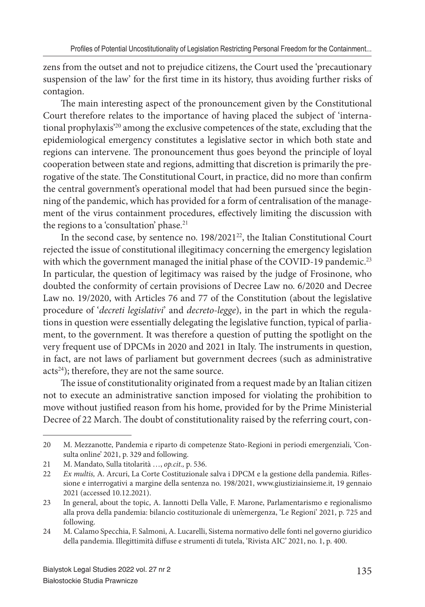zens from the outset and not to prejudice citizens, the Court used the 'precautionary suspension of the law' for the first time in its history, thus avoiding further risks of contagion.

The main interesting aspect of the pronouncement given by the Constitutional Court therefore relates to the importance of having placed the subject of 'international prophylaxis'<sup>20</sup> among the exclusive competences of the state, excluding that the epidemiological emergency constitutes a legislative sector in which both state and regions can intervene. The pronouncement thus goes beyond the principle of loyal cooperation between state and regions, admitting that discretion is primarily the prerogative of the state. The Constitutional Court, in practice, did no more than confirm the central government's operational model that had been pursued since the beginning of the pandemic, which has provided for a form of centralisation of the management of the virus containment procedures, effectively limiting the discussion with the regions to a 'consultation' phase.<sup>21</sup>

In the second case, by sentence no. 198/2021<sup>22</sup>, the Italian Constitutional Court rejected the issue of constitutional illegitimacy concerning the emergency legislation with which the government managed the initial phase of the COVID-19 pandemic.<sup>23</sup> In particular, the question of legitimacy was raised by the judge of Frosinone, who doubted the conformity of certain provisions of Decree Law no. 6/2020 and Decree Law no. 19/2020, with Articles 76 and 77 of the Constitution (about the legislative procedure of '*decreti legislativi*' and *decreto-legge*), in the part in which the regulations in question were essentially delegating the legislative function, typical of parliament, to the government. It was therefore a question of putting the spotlight on the very frequent use of DPCMs in 2020 and 2021 in Italy. The instruments in question, in fact, are not laws of parliament but government decrees (such as administrative acts<sup>24</sup>); therefore, they are not the same source.

The issue of constitutionality originated from a request made by an Italian citizen not to execute an administrative sanction imposed for violating the prohibition to move without justified reason from his home, provided for by the Prime Ministerial Decree of 22 March. The doubt of constitutionality raised by the referring court, con-

<sup>20</sup> M. Mezzanotte, Pandemia e riparto di competenze Stato-Regioni in periodi emergenziali, 'Consulta online' 2021, p. 329 and following.

<sup>21</sup> M. Mandato, Sulla titolarità …, *op.cit.,* p. 536.

<sup>22</sup> *Ex multis, A. Arcuri, La Corte Costituzionale salva i DPCM e la gestione della pandemia. Rifles*sione e interrogativi a margine della sentenza no. 198/2021, www.giustiziainsieme.it, 19 gennaio 2021 (accessed 10.12.2021).

<sup>23</sup> In general, about the topic, A. Iannotti Della Valle, F. Marone, Parlamentarismo e regionalismo alla prova della pandemia: bilancio costituzionale di un'emergenza, 'Le Regioni' 2021, p. 725 and following.

<sup>24</sup> M. Calamo Specchia, F. Salmoni, A. Lucarelli, Sistema normativo delle fonti nel governo giuridico della pandemia. Illegittimità diffuse e strumenti di tutela, 'Rivista AIC' 2021, no. 1, p. 400.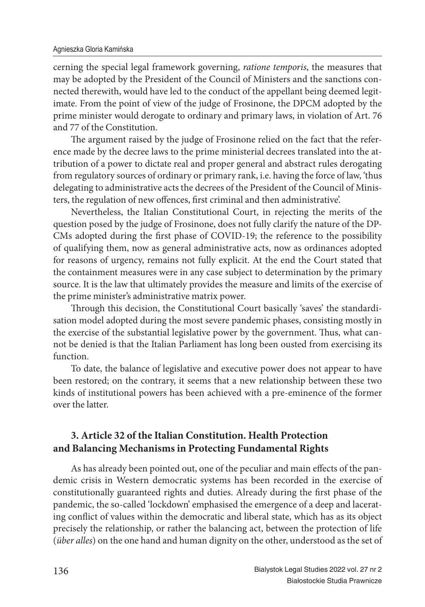cerning the special legal framework governing, *ratione temporis*, the measures that may be adopted by the President of the Council of Ministers and the sanctions connected therewith, would have led to the conduct of the appellant being deemed legitimate. From the point of view of the judge of Frosinone, the DPCM adopted by the prime minister would derogate to ordinary and primary laws, in violation of Art. 76 and 77 of the Constitution.

The argument raised by the judge of Frosinone relied on the fact that the reference made by the decree laws to the prime ministerial decrees translated into the attribution of a power to dictate real and proper general and abstract rules derogating from regulatory sources of ordinary or primary rank, i.e. having the force of law, 'thus delegating to administrative acts the decrees of the President of the Council of Ministers, the regulation of new offences, first criminal and then administrative'.

Nevertheless, the Italian Constitutional Court, in rejecting the merits of the question posed by the judge of Frosinone, does not fully clarify the nature of the DP-CMs adopted during the first phase of COVID-19; the reference to the possibility of qualifying them, now as general administrative acts, now as ordinances adopted for reasons of urgency, remains not fully explicit. At the end the Court stated that the containment measures were in any case subject to determination by the primary source. It is the law that ultimately provides the measure and limits of the exercise of the prime minister's administrative matrix power.

Through this decision, the Constitutional Court basically 'saves' the standardisation model adopted during the most severe pandemic phases, consisting mostly in the exercise of the substantial legislative power by the government. Thus, what cannot be denied is that the Italian Parliament has long been ousted from exercising its function.

To date, the balance of legislative and executive power does not appear to have been restored; on the contrary, it seems that a new relationship between these two kinds of institutional powers has been achieved with a pre-eminence of the former over the latter.

# **3. Article 32 of the Italian Constitution. Health Protection and Balancing Mechanisms in Protecting Fundamental Rights**

As has already been pointed out, one of the peculiar and main effects of the pandemic crisis in Western democratic systems has been recorded in the exercise of constitutionally guaranteed rights and duties. Already during the first phase of the pandemic, the so-called 'lockdown' emphasised the emergence of a deep and lacerating conflict of values within the democratic and liberal state, which has as its object precisely the relationship, or rather the balancing act, between the protection of life (*über alles*) on the one hand and human dignity on the other, understood as the set of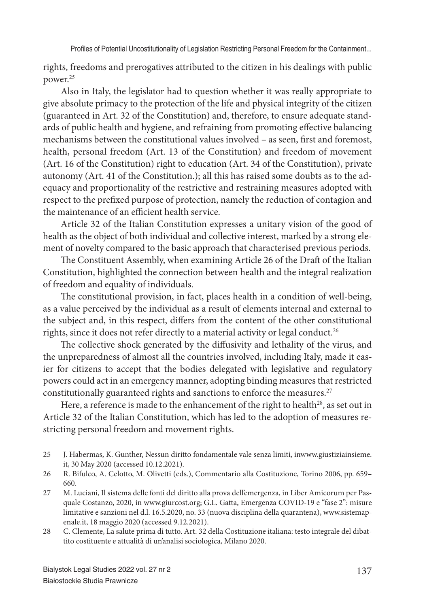rights, freedoms and prerogatives attributed to the citizen in his dealings with public power.<sup>25</sup>

Also in Italy, the legislator had to question whether it was really appropriate to give absolute primacy to the protection of the life and physical integrity of the citizen (guaranteed in Art. 32 of the Constitution) and, therefore, to ensure adequate standards of public health and hygiene, and refraining from promoting effective balancing mechanisms between the constitutional values involved - as seen, first and foremost, health, personal freedom (Art. 13 of the Constitution) and freedom of movement (Art. 16 of the Constitution) right to education (Art. 34 of the Constitution), private autonomy (Art. 41 of the Constitution.); all this has raised some doubts as to the adequacy and proportionality of the restrictive and restraining measures adopted with respect to the prefixed purpose of protection, namely the reduction of contagion and the maintenance of an efficient health service.

Article 32 of the Italian Constitution expresses a unitary vision of the good of health as the object of both individual and collective interest, marked by a strong element of novelty compared to the basic approach that characterised previous periods.

The Constituent Assembly, when examining Article 26 of the Draft of the Italian Constitution, highlighted the connection between health and the integral realization of freedom and equality of individuals.

The constitutional provision, in fact, places health in a condition of well-being, as a value perceived by the individual as a result of elements internal and external to the subject and, in this respect, differs from the content of the other constitutional rights, since it does not refer directly to a material activity or legal conduct.<sup>26</sup>

The collective shock generated by the diffusivity and lethality of the virus, and the unpreparedness of almost all the countries involved, including Italy, made it easier for citizens to accept that the bodies delegated with legislative and regulatory powers could act in an emergency manner, adopting binding measures that restricted constitutionally guaranteed rights and sanctions to enforce the measures.<sup>27</sup>

Here, a reference is made to the enhancement of the right to health<sup>28</sup>, as set out in Article 32 of the Italian Constitution, which has led to the adoption of measures restricting personal freedom and movement rights.

<sup>25</sup> J. Habermas, K. Gunther, Nessun diritto fondamentale vale senza limiti, inwww.giustiziainsieme. it, 30 May 2020 (accessed 10.12.2021).

<sup>26</sup> R. Bifulco, A. Celotto, M. Olivetti (eds.), Commentario alla Costituzione, Torino 2006, pp. 659– 660.

<sup>27</sup> M. Luciani, Il sistema delle fonti del diritto alla prova dell'emergenza, in Liber Amicorum per Pasquale Costanzo, 2020, in www.giurcost.org; G.L. Gatta, Emergenza COVID-19 e "fase 2": misure limitative e sanzioni nel d.l. 16.5.2020, no. 33 (nuova disciplina della quarantena), www.sistemapenale.it, 18 maggio 2020 (accessed 9.12.2021).

<sup>28</sup> C. Clemente, La salute prima di tutto. Art. 32 della Costituzione italiana: testo integrale del dibattito costituente e attualità di un'analisi sociologica, Milano 2020.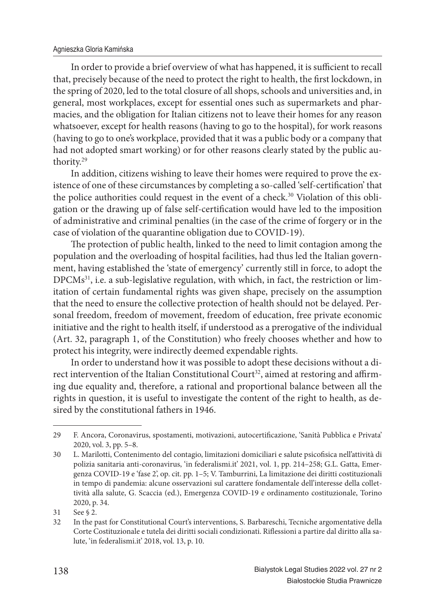#### Agnieszka Gloria Kamińska

In order to provide a brief overview of what has happened, it is sufficient to recall that, precisely because of the need to protect the right to health, the first lockdown, in the spring of 2020, led to the total closure of all shops, schools and universities and, in general, most workplaces, except for essential ones such as supermarkets and pharmacies, and the obligation for Italian citizens not to leave their homes for any reason whatsoever, except for health reasons (having to go to the hospital), for work reasons (having to go to one's workplace, provided that it was a public body or a company that had not adopted smart working) or for other reasons clearly stated by the public authority.<sup>29</sup>

In addition, citizens wishing to leave their homes were required to prove the existence of one of these circumstances by completing a so-called 'self-certification' that the police authorities could request in the event of a check.<sup>30</sup> Violation of this obligation or the drawing up of false self-certification would have led to the imposition of administrative and criminal penalties (in the case of the crime of forgery or in the case of violation of the quarantine obligation due to COVID-19).

The protection of public health, linked to the need to limit contagion among the population and the overloading of hospital facilities, had thus led the Italian government, having established the 'state of emergency' currently still in force, to adopt the DPCMs<sup>31</sup>, i.e. a sub-legislative regulation, with which, in fact, the restriction or limitation of certain fundamental rights was given shape, precisely on the assumption that the need to ensure the collective protection of health should not be delayed. Personal freedom, freedom of movement, freedom of education, free private economic initiative and the right to health itself, if understood as a prerogative of the individual (Art. 32, paragraph 1, of the Constitution) who freely chooses whether and how to protect his integrity, were indirectly deemed expendable rights.

In order to understand how it was possible to adopt these decisions without a direct intervention of the Italian Constitutional Court<sup>32</sup>, aimed at restoring and affirming due equality and, therefore, a rational and proportional balance between all the rights in question, it is useful to investigate the content of the right to health, as desired by the constitutional fathers in 1946.

<sup>29</sup> F. Ancora, Coronavirus, spostamenti, motivazioni, autocertificazione, 'Sanità Pubblica e Privata' 2020, vol. 3, pp. 5–8.

<sup>30</sup> L. Marilotti, Contenimento del contagio, limitazioni domiciliari e salute psicofisica nell'attività di polizia sanitaria anti-coronavirus, 'in federalismi.it' 2021, vol. 1, pp. 214–258; G.L. Gatta, Emergenza COVID-19 e 'fase 2', op. cit. pp. 1–5; V. Tamburrini, La limitazione dei diritti costituzionali in tempo di pandemia: alcune osservazioni sul carattere fondamentale dell'interesse della collettività alla salute, G. Scaccia (ed.), Emergenza COVID-19 e ordinamento costituzionale, Torino 2020, p. 34.

<sup>31</sup> See § 2.

<sup>32</sup> In the past for Constitutional Court's interventions, S. Barbareschi, Tecniche argomentative della Corte Costituzionale e tutela dei diritti sociali condizionati. Riflessioni a partire dal diritto alla salute, 'in federalismi.it' 2018, vol. 13, p. 10.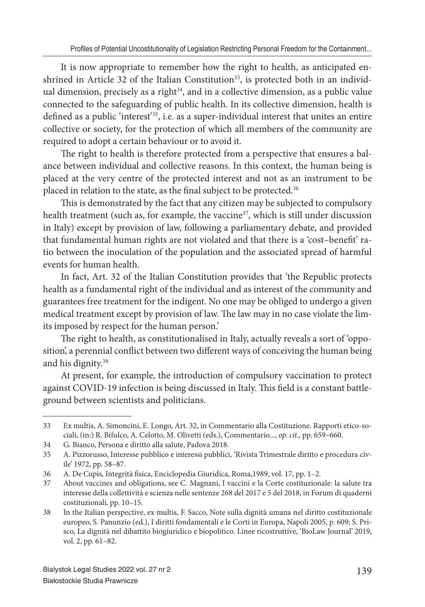It is now appropriate to remember how the right to health, as anticipated enshrined in Article 32 of the Italian Constitution<sup>33</sup>, is protected both in an individual dimension, precisely as a right $34$ , and in a collective dimension, as a public value connected to the safeguarding of public health. In its collective dimension, health is defined as a public 'interest'<sup>35</sup>, i.e. as a super-individual interest that unites an entire collective or society, for the protection of which all members of the community are required to adopt a certain behaviour or to avoid it.

The right to health is therefore protected from a perspective that ensures a balance between individual and collective reasons. In this context, the human being is placed at the very centre of the protected interest and not as an instrument to be placed in relation to the state, as the final subject to be protected.<sup>36</sup>

This is demonstrated by the fact that any citizen may be subjected to compulsory health treatment (such as, for example, the vaccine<sup>37</sup>, which is still under discussion in Italy) except by provision of law, following a parliamentary debate, and provided that fundamental human rights are not violated and that there is a 'cost-benefit' ratio between the inoculation of the population and the associated spread of harmful events for human health.

In fact, Art. 32 of the Italian Constitution provides that 'the Republic protects health as a fundamental right of the individual and as interest of the community and guarantees free treatment for the indigent. No one may be obliged to undergo a given medical treatment except by provision of law. The law may in no case violate the limits imposed by respect for the human person.'

The right to health, as constitutionalised in Italy, actually reveals a sort of 'opposition', a perennial conflict between two different ways of conceiving the human being and his dignity.<sup>38</sup>

At present, for example, the introduction of compulsory vaccination to protect against COVID-19 infection is being discussed in Italy. This field is a constant battleground between scientists and politicians.

<sup>33</sup> Ex multis, A. Simoncini, E. Longo, Art. 32, in Commentario alla Costituzione. Rapporti etico-sociali, (in:) R. Bifulco, A. Celotto, M. Olivetti (eds.), Commentario..., *op. cit.,* pp. 659–660.

<sup>34</sup> G. Bianco, Persona e diritto alla salute, Padova 2018.

<sup>35</sup> A. Pizzorusso, Interesse pubblico e interessi pubblici, 'Rivista Trimestrale diritto e procedura civile' 1972, pp. 58–87.

<sup>36</sup> A. De Cupis, Integrità fisica, Enciclopedia Giuridica, Roma,1989, vol. 17, pp. 1-2.

<sup>37</sup> About vaccines and obligations, see C. Magnani, I vaccini e la Corte costituzionale: la salute tra interesse della collettività e scienza nelle sentenze 268 del 2017 e 5 del 2018, in Forum di quaderni costituzionali, pp. 10–15.

<sup>38</sup> In the Italian perspective, ex multis, F. Sacco, Note sulla dignità umana nel diritto costituzionale europeo, S. Panunzio (ed.), I diritti fondamentali e le Corti in Europa, Napoli 2005, p. 609; S. Prisco, La dignità nel dibattito biogiuridico e biopolitico. Linee ricostruttive, 'BioLaw Journal' 2019, vol. 2, pp. 61–82.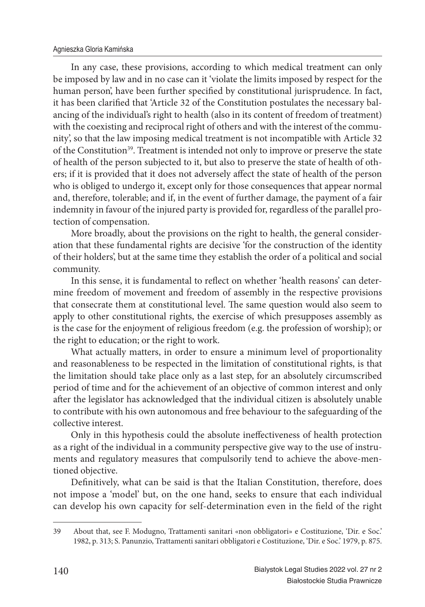In any case, these provisions, according to which medical treatment can only be imposed by law and in no case can it 'violate the limits imposed by respect for the human person', have been further specified by constitutional jurisprudence. In fact, it has been clarified that 'Article 32 of the Constitution postulates the necessary balancing of the individual's right to health (also in its content of freedom of treatment) with the coexisting and reciprocal right of others and with the interest of the community', so that the law imposing medical treatment is not incompatible with Article 32 of the Constitution<sup>39</sup>. Treatment is intended not only to improve or preserve the state of health of the person subjected to it, but also to preserve the state of health of others; if it is provided that it does not adversely affect the state of health of the person who is obliged to undergo it, except only for those consequences that appear normal and, therefore, tolerable; and if, in the event of further damage, the payment of a fair indemnity in favour of the injured party is provided for, regardless of the parallel protection of compensation.

More broadly, about the provisions on the right to health, the general consideration that these fundamental rights are decisive 'for the construction of the identity of their holders', but at the same time they establish the order of a political and social community.

In this sense, it is fundamental to reflect on whether 'health reasons' can determine freedom of movement and freedom of assembly in the respective provisions that consecrate them at constitutional level. The same question would also seem to apply to other constitutional rights, the exercise of which presupposes assembly as is the case for the enjoyment of religious freedom (e.g. the profession of worship); or the right to education; or the right to work.

What actually matters, in order to ensure a minimum level of proportionality and reasonableness to be respected in the limitation of constitutional rights, is that the limitation should take place only as a last step, for an absolutely circumscribed period of time and for the achievement of an objective of common interest and only after the legislator has acknowledged that the individual citizen is absolutely unable to contribute with his own autonomous and free behaviour to the safeguarding of the collective interest.

Only in this hypothesis could the absolute ineffectiveness of health protection as a right of the individual in a community perspective give way to the use of instruments and regulatory measures that compulsorily tend to achieve the above-mentioned objective.

Definitively, what can be said is that the Italian Constitution, therefore, does not impose a 'model' but, on the one hand, seeks to ensure that each individual can develop his own capacity for self-determination even in the field of the right

<sup>39</sup> About that, see F. Modugno, Trattamenti sanitari «non obbligatori» e Costituzione, 'Dir. e Soc.' 1982, p. 313; S. Panunzio, Trattamenti sanitari obbligatori e Costituzione, 'Dir. e Soc.' 1979, p. 875.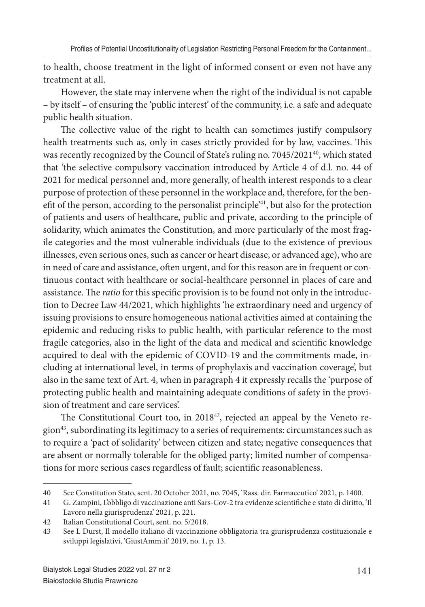to health, choose treatment in the light of informed consent or even not have any treatment at all.

However, the state may intervene when the right of the individual is not capable – by itself – of ensuring the 'public interest' of the community, i.e. a safe and adequate public health situation.

The collective value of the right to health can sometimes justify compulsory health treatments such as, only in cases strictly provided for by law, vaccines. This was recently recognized by the Council of State's ruling no. 7045/2021<sup>40</sup>, which stated that 'the selective compulsory vaccination introduced by Article 4 of d.l. no. 44 of 2021 for medical personnel and, more generally, of health interest responds to a clear purpose of protection of these personnel in the workplace and, therefore, for the benefit of the person, according to the personalist principle<sup>'41</sup>, but also for the protection of patients and users of healthcare, public and private, according to the principle of solidarity, which animates the Constitution, and more particularly of the most fragile categories and the most vulnerable individuals (due to the existence of previous illnesses, even serious ones, such as cancer or heart disease, or advanced age), who are in need of care and assistance, often urgent, and for this reason are in frequent or continuous contact with healthcare or social-healthcare personnel in places of care and assistance. The *ratio* for this specific provision is to be found not only in the introduction to Decree Law 44/2021, which highlights 'he extraordinary need and urgency of issuing provisions to ensure homogeneous national activities aimed at containing the epidemic and reducing risks to public health, with particular reference to the most fragile categories, also in the light of the data and medical and scientific knowledge acquired to deal with the epidemic of COVID-19 and the commitments made, including at international level, in terms of prophylaxis and vaccination coverage', but also in the same text of Art. 4, when in paragraph 4 it expressly recalls the 'purpose of protecting public health and maintaining adequate conditions of safety in the provision of treatment and care services'.

The Constitutional Court too, in 2018<sup>42</sup>, rejected an appeal by the Veneto region<sup>43</sup>, subordinating its legitimacy to a series of requirements: circumstances such as to require a 'pact of solidarity' between citizen and state; negative consequences that are absent or normally tolerable for the obliged party; limited number of compensations for more serious cases regardless of fault; scientific reasonableness.

<sup>40</sup> See Constitution Stato, sent. 20 October 2021, no. 7045, 'Rass. dir. Farmaceutico' 2021, p. 1400.

<sup>41</sup> G. Zampini, L'obbligo di vaccinazione anti Sars-Cov-2 tra evidenze scientifi che e stato di diritto, 'Il Lavoro nella giurisprudenza' 2021, p. 221.

<sup>42</sup> Italian Constitutional Court, sent. no. 5/2018.

<sup>43</sup> See L Durst, Il modello italiano di vaccinazione obbligatoria tra giurisprudenza costituzionale e sviluppi legislativi, 'GiustAmm.it' 2019, no. 1, p. 13.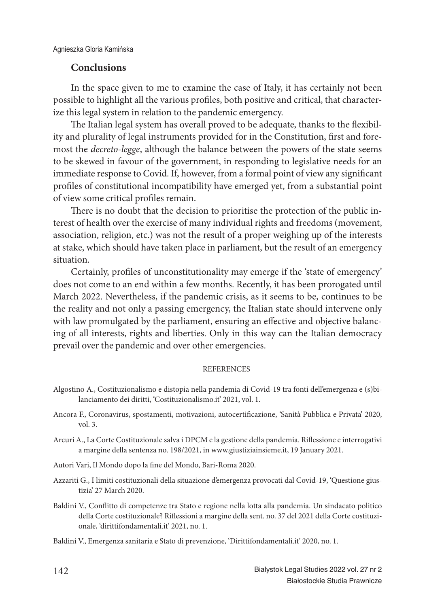### **Conclusions**

In the space given to me to examine the case of Italy, it has certainly not been possible to highlight all the various profiles, both positive and critical, that characterize this legal system in relation to the pandemic emergency.

The Italian legal system has overall proved to be adequate, thanks to the flexibility and plurality of legal instruments provided for in the Constitution, first and foremost the *decreto-legge*, although the balance between the powers of the state seems to be skewed in favour of the government, in responding to legislative needs for an immediate response to Covid. If, however, from a formal point of view any significant profiles of constitutional incompatibility have emerged yet, from a substantial point of view some critical profiles remain.

There is no doubt that the decision to prioritise the protection of the public interest of health over the exercise of many individual rights and freedoms (movement, association, religion, etc.) was not the result of a proper weighing up of the interests at stake, which should have taken place in parliament, but the result of an emergency situation.

Certainly, profiles of unconstitutionality may emerge if the 'state of emergency' does not come to an end within a few months. Recently, it has been prorogated until March 2022. Nevertheless, if the pandemic crisis, as it seems to be, continues to be the reality and not only a passing emergency, the Italian state should intervene only with law promulgated by the parliament, ensuring an effective and objective balancing of all interests, rights and liberties. Only in this way can the Italian democracy prevail over the pandemic and over other emergencies.

#### **REFERENCES**

- Algostino A., Costituzionalismo e distopia nella pandemia di Covid-19 tra fonti dell'emergenza e (s)bilanciamento dei diritti, 'Costituzionalismo.it' 2021, vol. 1.
- Ancora F., Coronavirus, spostamenti, motivazioni, autocertificazione, 'Sanità Pubblica e Privata' 2020, vol. 3.
- Arcuri A., La Corte Costituzionale salva i DPCM e la gestione della pandemia. Riflessione e interrogativi a margine della sentenza no. 198/2021, in www.giustiziainsieme.it, 19 January 2021.
- Autori Vari, Il Mondo dopo la fine del Mondo, Bari-Roma 2020.
- Azzariti G., I limiti costituzionali della situazione d'emergenza provocati dal Covid-19, 'Questione giustizia' 27 March 2020.
- Baldini V., Conflitto di competenze tra Stato e regione nella lotta alla pandemia. Un sindacato politico della Corte costituzionale? Riflessioni a margine della sent. no. 37 del 2021 della Corte costituzionale, 'dirittifondamentali.it' 2021, no. 1.
- Baldini V., Emergenza sanitaria e Stato di prevenzione, 'Dirittifondamentali.it' 2020, no. 1.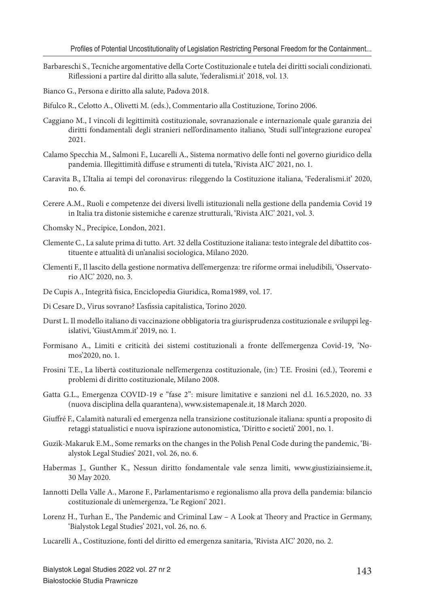Barbareschi S., Tecniche argomentative della Corte Costituzionale e tutela dei diritti sociali condizionati. Rifl essioni a partire dal diritto alla salute, 'federalismi.it' 2018, vol. 13.

Bianco G., Persona e diritto alla salute, Padova 2018.

Bifulco R., Celotto A., Olivetti M. (eds.), Commentario alla Costituzione, Torino 2006.

- Caggiano M., I vincoli di legittimità costituzionale, sovranazionale e internazionale quale garanzia dei diritti fondamentali degli stranieri nell'ordinamento italiano, 'Studi sull'integrazione europea' 2021.
- Calamo Specchia M., Salmoni F., Lucarelli A., Sistema normativo delle fonti nel governo giuridico della pandemia. Illegittimità diffuse e strumenti di tutela, 'Rivista AIC' 2021, no. 1.
- Caravita B., L'Italia ai tempi del coronavirus: rileggendo la Costituzione italiana, 'Federalismi.it' 2020, no. 6.
- Cerere A.M., Ruoli e competenze dei diversi livelli istituzionali nella gestione della pandemia Covid 19 in Italia tra distonie sistemiche e carenze strutturali, 'Rivista AIC' 2021, vol. 3.
- Chomsky N., Precipice, London, 2021.
- Clemente C., La salute prima di tutto. Art. 32 della Costituzione italiana: testo integrale del dibattito costituente e attualità di un'analisi sociologica, Milano 2020.
- Clementi F., Il lascito della gestione normativa dell'emergenza: tre riforme ormai ineludibili, 'Osservatorio AIC' 2020, no. 3.
- De Cupis A., Integrità fisica, Enciclopedia Giuridica, Roma1989, vol. 17.
- Di Cesare D., Virus sovrano? L'asfissia capitalistica, Torino 2020.
- Durst L. Il modello italiano di vaccinazione obbligatoria tra giurisprudenza costituzionale e sviluppi legislativi, 'GiustAmm.it' 2019, no. 1.
- Formisano A., Limiti e criticità dei sistemi costituzionali a fronte dell'emergenza Covid-19, 'Nomos'2020, no. 1.
- Frosini T.E., La libertà costituzionale nell'emergenza costituzionale, (in:) T.E. Frosini (ed.), Teoremi e problemi di diritto costituzionale, Milano 2008.
- Gatta G.L., Emergenza COVID-19 e "fase 2": misure limitative e sanzioni nel d.l. 16.5.2020, no. 33 (nuova disciplina della quarantena), www.sistemapenale.it, 18 March 2020.
- Giuffré F., Calamità naturali ed emergenza nella transizione costituzionale italiana: spunti a proposito di retaggi statualistici e nuova ispirazione autonomistica, 'Diritto e società' 2001, no. 1.
- Guzik-Makaruk E.M., Some remarks on the changes in the Polish Penal Code during the pandemic, 'Bialystok Legal Studies' 2021, vol. 26, no. 6.
- Habermas J., Gunther K., Nessun diritto fondamentale vale senza limiti, www.giustiziainsieme.it, 30 May 2020.
- Iannotti Della Valle A., Marone F., Parlamentarismo e regionalismo alla prova della pandemia: bilancio costituzionale di un'emergenza, 'Le Regioni' 2021.
- Lorenz H., Turhan E., The Pandemic and Criminal Law A Look at Theory and Practice in Germany, 'Bialystok Legal Studies' 2021, vol. 26, no. 6.
- Lucarelli A., Costituzione, fonti del diritto ed emergenza sanitaria, 'Rivista AIC' 2020, no. 2.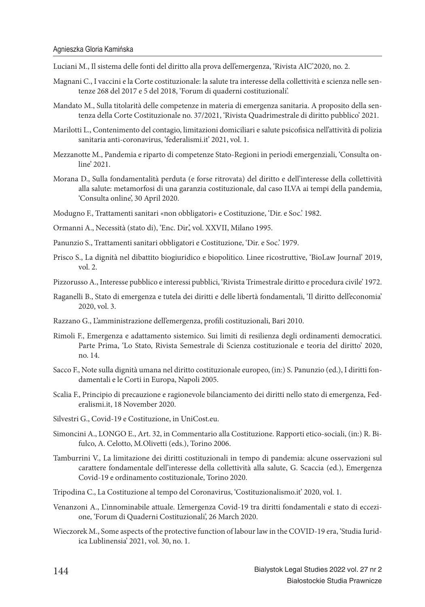- Luciani M., Il sistema delle fonti del diritto alla prova dell'emergenza, 'Rivista AIC'2020, no. 2.
- Magnani C., I vaccini e la Corte costituzionale: la salute tra interesse della collettività e scienza nelle sentenze 268 del 2017 e 5 del 2018, 'Forum di quaderni costituzionali'.
- Mandato M., Sulla titolarità delle competenze in materia di emergenza sanitaria. A proposito della sentenza della Corte Costituzionale no. 37/2021, 'Rivista Quadrimestrale di diritto pubblico' 2021.
- Marilotti L., Contenimento del contagio, limitazioni domiciliari e salute psicofisica nell'attività di polizia sanitaria anti-coronavirus, 'federalismi.it' 2021, vol. 1.
- Mezzanotte M., Pandemia e riparto di competenze Stato-Regioni in periodi emergenziali, 'Consulta online' 2021.
- Morana D., Sulla fondamentalità perduta (e forse ritrovata) del diritto e dell'interesse della collettività alla salute: metamorfosi di una garanzia costituzionale, dal caso ILVA ai tempi della pandemia, 'Consulta online', 30 April 2020.
- Modugno F., Trattamenti sanitari «non obbligatori» e Costituzione, 'Dir. e Soc.' 1982.
- Ormanni A., Necessità (stato di), 'Enc. Dir.', vol. XXVII, Milano 1995.
- Panunzio S., Trattamenti sanitari obbligatori e Costituzione, 'Dir. e Soc.' 1979.
- Prisco S., La dignità nel dibattito biogiuridico e biopolitico. Linee ricostruttive, 'BioLaw Journal' 2019, vol. 2.
- Pizzorusso A., Interesse pubblico e interessi pubblici, 'Rivista Trimestrale diritto e procedura civile' 1972.
- Raganelli B., Stato di emergenza e tutela dei diritti e delle libertà fondamentali, 'Il diritto dell'economia' 2020, vol. 3.
- Razzano G., L'amministrazione dell'emergenza, profili costituzionali, Bari 2010.
- Rimoli F., Emergenza e adattamento sistemico. Sui limiti di resilienza degli ordinamenti democratici. Parte Prima, 'Lo Stato, Rivista Semestrale di Scienza costituzionale e teoria del diritto' 2020, no. 14.
- Sacco F., Note sulla dignità umana nel diritto costituzionale europeo, (in:) S. Panunzio (ed.), I diritti fondamentali e le Corti in Europa, Napoli 2005.
- Scalia F., Principio di precauzione e ragionevole bilanciamento dei diritti nello stato di emergenza, Federalismi.it, 18 November 2020.
- Silvestri G., Covid-19 e Costituzione, in UniCost.eu.
- Simoncini A., LONGO E., Art. 32, in Commentario alla Costituzione. Rapporti etico-sociali, (in:) R. Bifulco, A. Celotto, M.Olivetti (eds.), Torino 2006.
- Tamburrini V., La limitazione dei diritti costituzionali in tempo di pandemia: alcune osservazioni sul carattere fondamentale dell'interesse della collettività alla salute, G. Scaccia (ed.), Emergenza Covid-19 e ordinamento costituzionale, Torino 2020.
- Tripodina C., La Costituzione al tempo del Coronavirus, 'Costituzionalismo.it' 2020, vol. 1.
- Venanzoni A., L'innominabile attuale. L'emergenza Covid-19 tra diritti fondamentali e stato di eccezione, 'Forum di Quaderni Costituzionali', 26 March 2020.
- Wieczorek M., Some aspects of the protective function of labour law in the COVID-19 era, 'Studia Iuridica Lublinensia' 2021, vol. 30, no. 1.